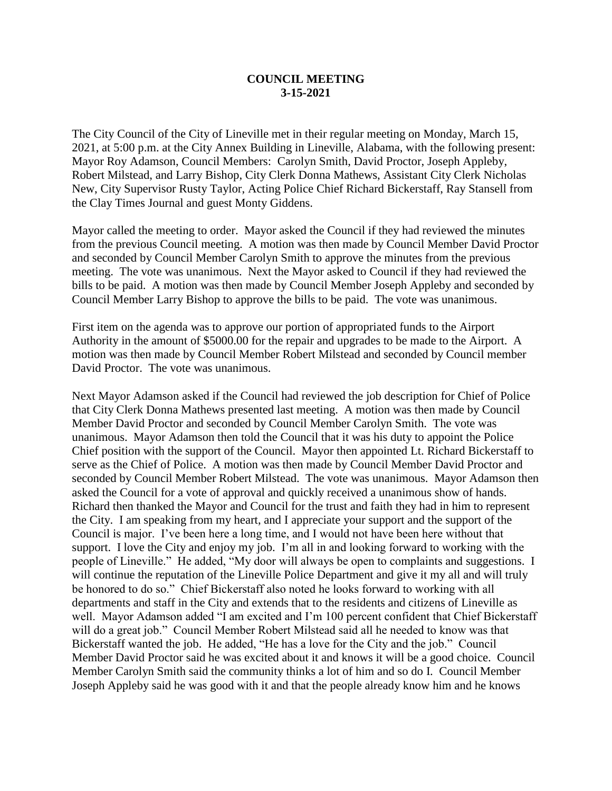## **COUNCIL MEETING 3-15-2021**

The City Council of the City of Lineville met in their regular meeting on Monday, March 15, 2021, at 5:00 p.m. at the City Annex Building in Lineville, Alabama, with the following present: Mayor Roy Adamson, Council Members: Carolyn Smith, David Proctor, Joseph Appleby, Robert Milstead, and Larry Bishop, City Clerk Donna Mathews, Assistant City Clerk Nicholas New, City Supervisor Rusty Taylor, Acting Police Chief Richard Bickerstaff, Ray Stansell from the Clay Times Journal and guest Monty Giddens.

Mayor called the meeting to order. Mayor asked the Council if they had reviewed the minutes from the previous Council meeting. A motion was then made by Council Member David Proctor and seconded by Council Member Carolyn Smith to approve the minutes from the previous meeting. The vote was unanimous. Next the Mayor asked to Council if they had reviewed the bills to be paid. A motion was then made by Council Member Joseph Appleby and seconded by Council Member Larry Bishop to approve the bills to be paid. The vote was unanimous.

First item on the agenda was to approve our portion of appropriated funds to the Airport Authority in the amount of \$5000.00 for the repair and upgrades to be made to the Airport. A motion was then made by Council Member Robert Milstead and seconded by Council member David Proctor. The vote was unanimous.

Next Mayor Adamson asked if the Council had reviewed the job description for Chief of Police that City Clerk Donna Mathews presented last meeting. A motion was then made by Council Member David Proctor and seconded by Council Member Carolyn Smith. The vote was unanimous. Mayor Adamson then told the Council that it was his duty to appoint the Police Chief position with the support of the Council. Mayor then appointed Lt. Richard Bickerstaff to serve as the Chief of Police. A motion was then made by Council Member David Proctor and seconded by Council Member Robert Milstead. The vote was unanimous. Mayor Adamson then asked the Council for a vote of approval and quickly received a unanimous show of hands. Richard then thanked the Mayor and Council for the trust and faith they had in him to represent the City. I am speaking from my heart, and I appreciate your support and the support of the Council is major. I've been here a long time, and I would not have been here without that support. I love the City and enjoy my job. I'm all in and looking forward to working with the people of Lineville." He added, "My door will always be open to complaints and suggestions. I will continue the reputation of the Lineville Police Department and give it my all and will truly be honored to do so." Chief Bickerstaff also noted he looks forward to working with all departments and staff in the City and extends that to the residents and citizens of Lineville as well. Mayor Adamson added "I am excited and I'm 100 percent confident that Chief Bickerstaff will do a great job." Council Member Robert Milstead said all he needed to know was that Bickerstaff wanted the job. He added, "He has a love for the City and the job." Council Member David Proctor said he was excited about it and knows it will be a good choice. Council Member Carolyn Smith said the community thinks a lot of him and so do I. Council Member Joseph Appleby said he was good with it and that the people already know him and he knows